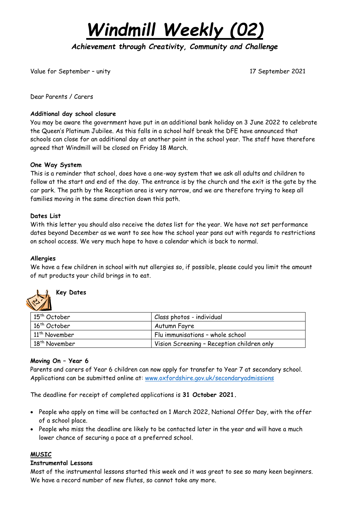*Windmill Weekly (02)*

*Achievement through Creativity, Community and Challenge* 

Value for September – unity 17 September 2021

Dear Parents / Carers

## **Additional day school closure**

You may be aware the government have put in an additional bank holiday on 3 June 2022 to celebrate the Queen's Platinum Jubilee. As this falls in a school half break the DFE have announced that schools can close for an additional day at another point in the school year. The staff have therefore agreed that Windmill will be closed on Friday 18 March.

## **One Way System**

This is a reminder that school, does have a one-way system that we ask all adults and children to follow at the start and end of the day. The entrance is by the church and the exit is the gate by the car park. The path by the Reception area is very narrow, and we are therefore trying to keep all families moving in the same direction down this path.

## **Dates List**

With this letter you should also receive the dates list for the year. We have not set performance dates beyond December as we want to see how the school year pans out with regards to restrictions on school access. We very much hope to have a calendar which is back to normal.

#### **Allergies**

We have a few children in school with nut allergies so, if possible, please could you limit the amount of nut products your child brings in to eat.



# **Key Dates**

| 15 <sup>th</sup> October  | Class photos - individual                  |
|---------------------------|--------------------------------------------|
| 16 <sup>th</sup> October  | Autumn Fayre                               |
| $11th$ November           | Flu immunisations - whole school           |
| 18 <sup>th</sup> November | Vision Screening - Reception children only |

# **Moving On – Year 6**

Parents and carers of Year 6 children can now apply for transfer to Year 7 at secondary school. Applications can be submitted online at: [www.oxfordshire.gov.uk/secondaryadmissions](http://www.oxfordshire.gov.uk/secondaryadmissions)

The deadline for receipt of completed applications is **31 October 2021.**

- People who apply on time will be contacted on 1 March 2022, National Offer Day, with the offer of a school place.
- People who miss the deadline are likely to be contacted later in the year and will have a much lower chance of securing a pace at a preferred school.

# **MUSIC**

#### **Instrumental Lessons**

Most of the instrumental lessons started this week and it was great to see so many keen beginners. We have a record number of new flutes, so cannot take any more.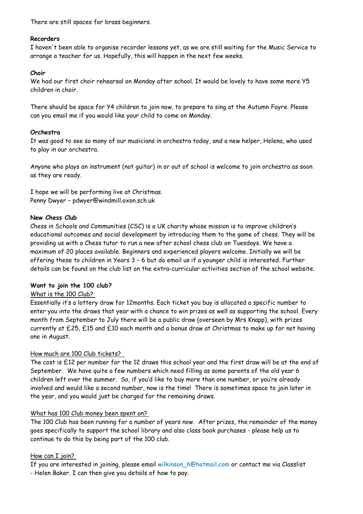There are still spaces for brass beginners.

# **Recorders**

I haven't been able to organise recorder lessons yet, as we are still waiting for the Music Service to arrange a teacher for us. Hopefully, this will happen in the next few weeks.

## **Choir**

We had our first choir rehearsal on Monday after school. It would be lovely to have some more Y5 children in choir.

There should be space for Y4 children to join now, to prepare to sing at the Autumn Fayre. Please can you email me if you would like your child to come on Monday.

## **Orchestra**

It was good to see so many of our musicians in orchestra today, and a new helper, Helena, who used to play in our orchestra.

Anyone who plays an instrument (not guitar) in or out of school is welcome to join orchestra as soon as they are ready.

I hope we will be performing live at Christmas. Penny Dwyer – pdwyer@windmill.oxon.sch.uk

## **New Chess Club**

Chess in Schools and Communities (CSC) is a UK charity whose mission is to improve children's educational outcomes and social development by introducing them to the game of chess. They will be providing us with a Chess tutor to run a new after school chess club on Tuesdays. We have a maximum of 20 places available. Beginners and experienced players welcome. Initially we will be offering these to children in Years 3 – 6 but do email us if a younger child is interested. Further details can be found on the club list on the extra-curricular activities section of the school website.

#### **Want to join the 100 club?**

# What is the 100 Club?

Essentially it's a lottery draw for 12months. Each ticket you buy is allocated a specific number to enter you into the draws that year with a chance to win prizes as well as supporting the school. Every month from September to July there will be a public draw (overseen by Mrs Knapp), with prizes currently at £25, £15 and £10 each month and a bonus draw at Christmas to make up for not having one in August.

# How much are 100 Club tickets?

The cost is £12 per number for the 12 draws this school year and the first draw will be at the end of September. We have quite a few numbers which need filling as some parents of the old year 6 children left over the summer. So, if you'd like to buy more than one number, or you're already involved and would like a second number, now is the time! There is sometimes space to join later in the year, and you would just be charged for the remaining draws.

#### What has 100 Club money been spent on?

The 100 Club has been running for a number of years now. After prizes, the remainder of the money goes specifically to support the school library and also class book purchases - please help us to continue to do this by being part of the 100 club.

# How can I join?

If you are interested in joining, please email wilkinson h@hotmail.com or contact me via Classlist - Helen Baker. I can then give you details of how to pay.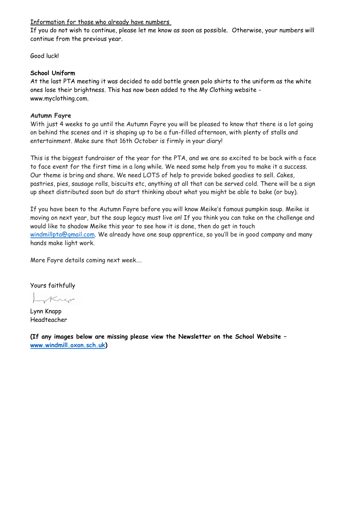## Information for those who already have numbers

If you do not wish to continue, please let me know as soon as possible. Otherwise, your numbers will continue from the previous year.

Good luck!

## **School Uniform**

At the last PTA meeting it was decided to add bottle green polo shirts to the uniform as the white ones lose their brightness. This has now been added to the My Clothing website www.myclothing.com.

# **Autumn Fayre**

With just 4 weeks to go until the Autumn Fayre you will be pleased to know that there is a lot going on behind the scenes and it is shaping up to be a fun-filled afternoon, with plenty of stalls and entertainment. Make sure that 16th October is firmly in your diary!

This is the biggest fundraiser of the year for the PTA, and we are so excited to be back with a face to face event for the first time in a long while. We need some help from you to make it a success. Our theme is bring and share. We need LOTS of help to provide baked goodies to sell. Cakes, pastries, pies, sausage rolls, biscuits etc, anything at all that can be served cold. There will be a sign up sheet distributed soon but do start thinking about what you might be able to bake (or buy).

If you have been to the Autumn Fayre before you will know Meike's famous pumpkin soup. Meike is moving on next year, but the soup legacy must live on! If you think you can take on the challenge and would like to shadow Meike this year to see how it is done, then do get in touch [windmillpta@gmail.com.](mailto:windmillpta@gmail.com) We already have one soup apprentice, so you'll be in good company and many hands make light work.

More Fayre details coming next week….

Yours faithfully

Krep

Lynn Knapp Headteacher

**(If any images below are missing please view the Newsletter on the School Website – [www.windmill.oxon.sch.uk\)](http://www.windmill.oxon.sch.uk/)**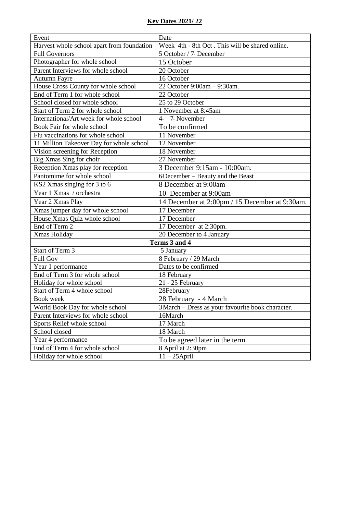# **Key Dates 2021/ 22**

| Event                                      | Date                                              |
|--------------------------------------------|---------------------------------------------------|
| Harvest whole school apart from foundation | Week 4th - 8th Oct. This will be shared online.   |
| <b>Full Governors</b>                      | 5 October / 7 December                            |
| Photographer for whole school              | 15 October                                        |
| Parent Interviews for whole school         | 20 October                                        |
| <b>Autumn Fayre</b>                        | 16 October                                        |
| House Cross County for whole school        | 22 October 9:00am - 9:30am.                       |
| End of Term 1 for whole school             | 22 October                                        |
| School closed for whole school             | 25 to 29 October                                  |
| Start of Term 2 for whole school           | 1 November at 8:45am                              |
| International/Art week for whole school    | $4 - 7$ November                                  |
| Book Fair for whole school                 | To be confirmed                                   |
| Flu vaccinations for whole school          | 11 November                                       |
| 11 Million Takeover Day for whole school   | 12 November                                       |
| Vision screening for Reception             | 18 November                                       |
| Big Xmas Sing for choir                    | 27 November                                       |
| Reception Xmas play for reception          | 3 December 9:15am - 10:00am.                      |
| Pantomime for whole school                 | 6December – Beauty and the Beast                  |
| KS2 Xmas singing for 3 to 6                | 8 December at 9:00am                              |
| Year 1 Xmas / orchestra                    | 10 December at 9:00am                             |
| Year 2 Xmas Play                           | 14 December at 2:00pm / 15 December at 9:30am.    |
| Xmas jumper day for whole school           | 17 December                                       |
| House Xmas Quiz whole school               | 17 December                                       |
| End of Term 2                              | 17 December at 2:30pm.                            |
| Xmas Holiday                               | 20 December to 4 January                          |
| Terms 3 and 4                              |                                                   |
| Start of Term 3                            | 5 January                                         |
| <b>Full Gov</b>                            | 8 February / 29 March                             |
| Year 1 performance                         | Dates to be confirmed                             |
| End of Term 3 for whole school             | 18 February                                       |
| Holiday for whole school                   | 21 - 25 February                                  |
| Start of Term 4 whole school               | 28February                                        |
| Book week                                  | 28 February - 4 March                             |
| World Book Day for whole school            | 3 March - Dress as your favourite book character. |
| Parent Interviews for whole school         | 16March                                           |
| Sports Relief whole school                 | 17 March                                          |
| School closed                              | 18 March                                          |
| Year 4 performance                         | To be agreed later in the term                    |
| End of Term 4 for whole school             | 8 April at 2:30pm                                 |
| Holiday for whole school                   | $11 - 25$ April                                   |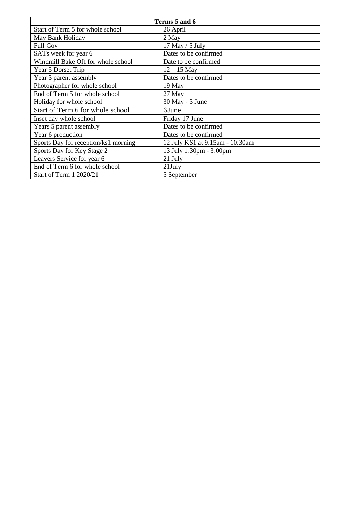| Terms 5 and 6                        |                                 |
|--------------------------------------|---------------------------------|
| Start of Term 5 for whole school     | 26 April                        |
| May Bank Holiday                     | 2 May                           |
| <b>Full Gov</b>                      | 17 May / 5 July                 |
| SATs week for year 6                 | Dates to be confirmed           |
| Windmill Bake Off for whole school   | Date to be confirmed            |
| Year 5 Dorset Trip                   | $12 - 15$ May                   |
| Year 3 parent assembly               | Dates to be confirmed           |
| Photographer for whole school        | 19 May                          |
| End of Term 5 for whole school       | 27 May                          |
| Holiday for whole school             | 30 May - 3 June                 |
| Start of Term 6 for whole school     | 6June                           |
| Inset day whole school               | Friday 17 June                  |
| Years 5 parent assembly              | Dates to be confirmed           |
| Year 6 production                    | Dates to be confirmed           |
| Sports Day for reception/ks1 morning | 12 July KS1 at 9:15am - 10:30am |
| Sports Day for Key Stage 2           | 13 July 1:30pm - 3:00pm         |
| Leavers Service for year 6           | 21 July                         |
| End of Term 6 for whole school       | $21$ July                       |
| Start of Term 1 2020/21              | 5 September                     |